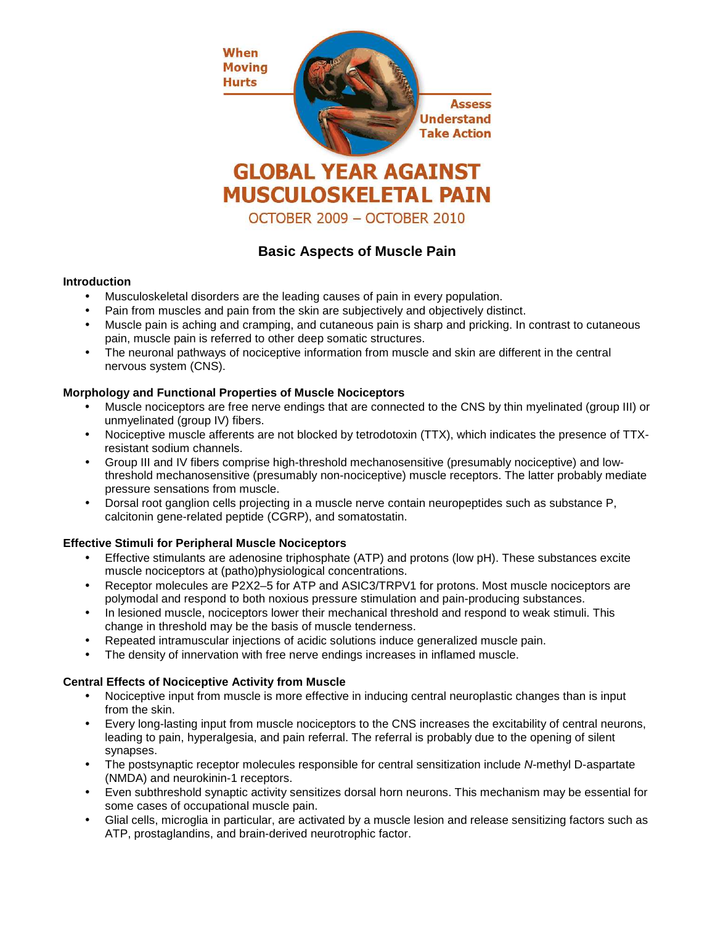

# **Basic Aspects of Muscle Pain**

#### **Introduction**

- Musculoskeletal disorders are the leading causes of pain in every population.
- Pain from muscles and pain from the skin are subjectively and objectively distinct.
- Muscle pain is aching and cramping, and cutaneous pain is sharp and pricking. In contrast to cutaneous pain, muscle pain is referred to other deep somatic structures.
- The neuronal pathways of nociceptive information from muscle and skin are different in the central nervous system (CNS).

## **Morphology and Functional Properties of Muscle Nociceptors**

- Muscle nociceptors are free nerve endings that are connected to the CNS by thin myelinated (group III) or unmyelinated (group IV) fibers.
- Nociceptive muscle afferents are not blocked by tetrodotoxin (TTX), which indicates the presence of TTXresistant sodium channels.
- Group III and IV fibers comprise high-threshold mechanosensitive (presumably nociceptive) and lowthreshold mechanosensitive (presumably non-nociceptive) muscle receptors. The latter probably mediate pressure sensations from muscle.
- Dorsal root ganglion cells projecting in a muscle nerve contain neuropeptides such as substance P, calcitonin gene-related peptide (CGRP), and somatostatin.

## **Effective Stimuli for Peripheral Muscle Nociceptors**

- Effective stimulants are adenosine triphosphate (ATP) and protons (low pH). These substances excite muscle nociceptors at (patho)physiological concentrations.
- Receptor molecules are P2X2–5 for ATP and ASIC3/TRPV1 for protons. Most muscle nociceptors are polymodal and respond to both noxious pressure stimulation and pain-producing substances.
- In lesioned muscle, nociceptors lower their mechanical threshold and respond to weak stimuli. This change in threshold may be the basis of muscle tenderness.
- Repeated intramuscular injections of acidic solutions induce generalized muscle pain.
- The density of innervation with free nerve endings increases in inflamed muscle.

## **Central Effects of Nociceptive Activity from Muscle**

- Nociceptive input from muscle is more effective in inducing central neuroplastic changes than is input from the skin.
- Every long-lasting input from muscle nociceptors to the CNS increases the excitability of central neurons, leading to pain, hyperalgesia, and pain referral. The referral is probably due to the opening of silent synapses.
- The postsynaptic receptor molecules responsible for central sensitization include N-methyl D-aspartate (NMDA) and neurokinin-1 receptors.
- Even subthreshold synaptic activity sensitizes dorsal horn neurons. This mechanism may be essential for some cases of occupational muscle pain.
- Glial cells, microglia in particular, are activated by a muscle lesion and release sensitizing factors such as ATP, prostaglandins, and brain-derived neurotrophic factor.